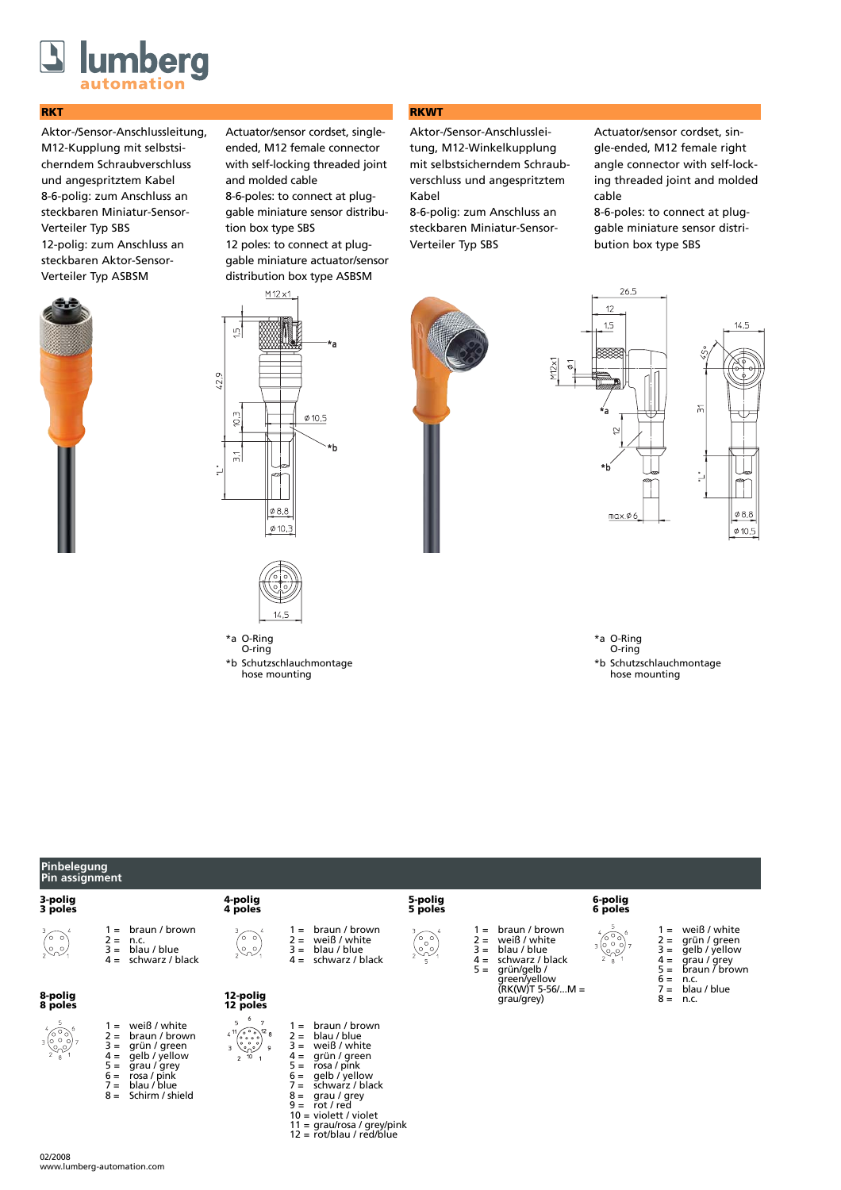

## **RKT**

Aktor-/Sensor-Anschlussleitung, M12-Kupplung mit selbstsicherndem Schraubverschluss und angespritztem Kabel 8-6-polig: zum Anschluss an steckbaren Miniatur-Sensor-Verteiler Typ SBS 12-polig: zum Anschluss an steckbaren Aktor-Sensor-Verteiler Typ ASBSM



Actuator/sensor cordset, singleended, M12 female connector with self-locking threaded joint and molded cable

8-6-poles: to connect at pluggable miniature sensor distribution box type SBS

12 poles: to connect at pluggable miniature actuator/sensor distribution box type ASBSM

## **RKWT**

Aktor-/Sensor-Anschlussleitung, M12-Winkelkupplung mit selbstsicherndem Schraubverschluss und angespritztem Kabel

8-6-polig: zum Anschluss an steckbaren Miniatur-Sensor-Verteiler Typ SBS

Actuator/sensor cordset, single-ended, M12 female right angle connector with self-locking threaded joint and molded cable

8-6-poles: to connect at pluggable miniature sensor distribution box type SBS





O-ring \*b Schutzschlauchmontage hose mounting



26.5



\*a O-Ring O-ring \*b Schutzschlauchmontage hose mounting

| Pinbelegung<br>Pin assignment                                                  |                                                                                                                                                                                                    |                                                                                                                                                                                                                                                                                                                                                                      |                                                                                                                                                                                                                                                                                                               |                                                                                                  |                                                                                                |                                                                     |                                                                                                                                           |  |
|--------------------------------------------------------------------------------|----------------------------------------------------------------------------------------------------------------------------------------------------------------------------------------------------|----------------------------------------------------------------------------------------------------------------------------------------------------------------------------------------------------------------------------------------------------------------------------------------------------------------------------------------------------------------------|---------------------------------------------------------------------------------------------------------------------------------------------------------------------------------------------------------------------------------------------------------------------------------------------------------------|--------------------------------------------------------------------------------------------------|------------------------------------------------------------------------------------------------|---------------------------------------------------------------------|-------------------------------------------------------------------------------------------------------------------------------------------|--|
| 3-polig<br>3 poles                                                             |                                                                                                                                                                                                    | 4-polig<br>4 poles                                                                                                                                                                                                                                                                                                                                                   |                                                                                                                                                                                                                                                                                                               | 5-polig<br>5 poles                                                                               |                                                                                                | 6-polig<br>6 poles                                                  |                                                                                                                                           |  |
| $\begin{pmatrix} 3 & 0 \\ 0 & 0 \\ 0 & 0 \end{pmatrix}$                        | braun / brown<br>$1 =$<br>$2 =$<br>n.c.<br>blau / blue<br>$3 =$<br>schwarz / black<br>$4 =$                                                                                                        | $\begin{pmatrix} 0 & 0 \\ 0 & 0 \\ 0 & 1 \end{pmatrix}$                                                                                                                                                                                                                                                                                                              | braun / brown<br>$=$<br>weiß / white<br>$2 =$<br>$3 =$<br>blau / blue<br>schwarz / black<br>$4 =$                                                                                                                                                                                                             | $=$<br>$\begin{pmatrix} 0 & 0 \\ 0 & 0 \\ 0 & 0 \end{pmatrix}$<br>$2 =$<br>$=$<br>$4 =$<br>$5 =$ | braun / brown<br>weiß / white<br>blau / blue<br>schwarz / black<br>grün/gelb /<br>green/yellow | $\begin{pmatrix} 6 & 0 & 0 \\ 0 & 0 & 0 \\ 2 & 8 & 1 \end{pmatrix}$ | weiß / white<br>$=$<br>$2 =$<br>grün / green<br>$3 =$<br>gelb / yellow<br>$4 =$<br>grau / grey<br>$5 =$<br>braun / brown<br>$6 =$<br>n.c. |  |
| 8-polig<br>8 poles                                                             |                                                                                                                                                                                                    | 12-polig<br>12 poles                                                                                                                                                                                                                                                                                                                                                 |                                                                                                                                                                                                                                                                                                               |                                                                                                  | $(RK(W)T 5-56/M =$<br>grau/grey)                                                               |                                                                     | blau / blue<br>$\equiv$<br>$8 =$<br>n.c.                                                                                                  |  |
| $\frac{1}{2}$ $\begin{pmatrix} 0 & 0 \\ 0 & 0 \\ 0 & 0 \\ 2 & 8 \end{pmatrix}$ | weiß / white<br>$=$<br>braun / brown<br>2 =<br>$3 =$<br>grün / green<br>gelb / yellow<br>$4 =$<br>$5 =$<br>grau / grey<br>$6 =$<br>rosa / pink<br>$7 =$<br>blau / blue<br>Schirm / shield<br>$8 =$ | -6<br>5<br>$\begin{array}{l} 4 \text{ } ^{11}\left(\begin{smallmatrix} \circ & \circ & \circ & \circ \\ \circ & \circ & \circ & \circ \\ \circ & \circ & \circ & \circ \end{smallmatrix}\right) ^{12} \text{ } 8 \\ 3 \text{ } & \text{ } \text{ } ^{0}\text{ } \text{ } ^{0}\text{ } \text{ } ^{0}\text{ } \text{ } \text{ } ^{0}\text{ } \end{array}$<br>$2^{-10}$ | braun / brown<br>$=$<br>blau / blue<br>$2 =$<br>weiß / white<br>$3 =$<br>grün / green<br>$4 =$<br>$5 =$<br>rosa / pink<br>qelb / yellow<br>$6 =$<br>schwarz / black<br>′ =<br>$8 =$<br>grau / grey<br>$9 =$<br>rot / red<br>$10 =$ violett / violet<br>11 = grau/rosa / grey/pink<br>12 = rot/blau / red/blue |                                                                                                  |                                                                                                |                                                                     |                                                                                                                                           |  |